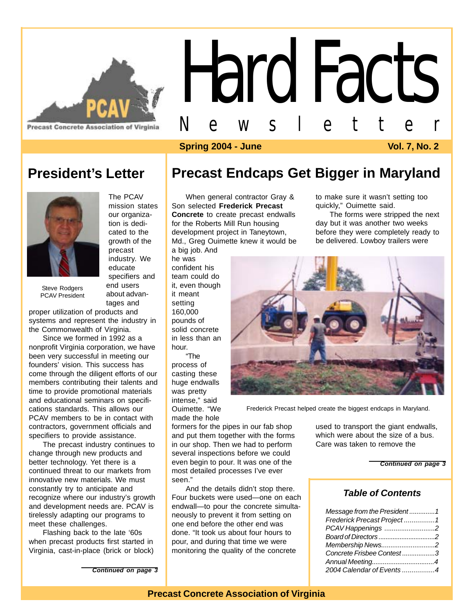

**Precast Concrete Association of Virginia** 

# Hard Facts Newsletter

#### **Spring 2004 - June Vol. 7, No. 2**

### **President's Letter**



Steve Rodgers PCAV President

our organization is dedicated to the growth of the precast industry. We educate specifiers and end users about advantages and

The PCAV mission states

proper utilization of products and systems and represent the industry in the Commonwealth of Virginia.

Since we formed in 1992 as a nonprofit Virginia corporation, we have been very successful in meeting our founders' vision. This success has come through the diligent efforts of our members contributing their talents and time to provide promotional materials and educational seminars on specifications standards. This allows our PCAV members to be in contact with contractors, government officials and specifiers to provide assistance.

The precast industry continues to change through new products and better technology. Yet there is a continued threat to our markets from innovative new materials. We must constantly try to anticipate and recognize where our industry's growth and development needs are. PCAV is tirelessly adapting our programs to meet these challenges.

Flashing back to the late '60s when precast products first started in Virginia, cast-in-place (brick or block) **Precast Endcaps Get Bigger in Maryland**

When general contractor Gray & Son selected **Frederick Precast Concrete** to create precast endwalls for the Roberts Mill Run housing development project in Taneytown, Md., Greg Ouimette knew it would be a big job. And

he was confident his team could do it, even though it meant setting 160,000 pounds of solid concrete in less than an hour.

"The process of casting these huge endwalls was pretty intense," said Ouimette. "We made the hole

formers for the pipes in our fab shop and put them together with the forms in our shop. Then we had to perform several inspections before we could even begin to pour. It was one of the most detailed processes I've ever seen."

And the details didn't stop there. Four buckets were used—one on each endwall—to pour the concrete simultaneously to prevent it from setting on one end before the other end was done. "It took us about four hours to pour, and during that time we were monitoring the quality of the concrete

to make sure it wasn't setting too quickly," Ouimette said.

The forms were stripped the next day but it was another two weeks before they were completely ready to be delivered. Lowboy trailers were



Frederick Precast helped create the biggest endcaps in Maryland.

used to transport the giant endwalls, which were about the size of a bus. Care was taken to remove the

*Continued on page 3*

#### *Table of Contents*

| Message from the President1 |  |
|-----------------------------|--|
| Frederick Precast Project 1 |  |
| PCAV Happenings 2           |  |
|                             |  |
| Membership News2            |  |
| Concrete Frisbee Contest 3  |  |
| Annual Meeting4             |  |
| 2004 Calendar of Events 4   |  |

*Continued on page 3*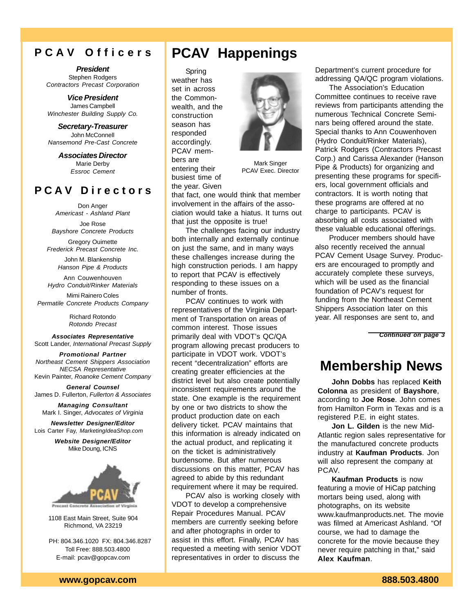#### **P C A V O f f i c e r s**

*President* Stephen Rodgers *Contractors Precast Corporation*

*Vice President* James Campbell *Winchester Building Supply Co.*

*Secretary-Treasurer* John McConnell *Nansemond Pre-Cast Concrete*

> *Associates Director* Marie Derby *Essroc Cement*

#### **P C A V D i r e c t o r s**

Don Anger *Americast - Ashland Plant*

Joe Rose *Bayshore Concrete Products*

Gregory Ouimette *Frederick Precast Concrete Inc.*

> John M. Blankenship *Hanson Pipe & Products*

Ann Couwenhouven *Hydro Conduit/Rinker Materials*

Mimi Rainero Coles *Permatile Concrete Products Company*

> Richard Rotondo *Rotondo Precast*

*Associates Representative* Scott Lander, *International Precast Supply*

*Promotional Partner Northeast Cement Shippers Association NECSA Representative* Kevin Painter, *Roanoke Cement Company*

*General Counsel* James D. Fullerton, *Fullerton & Associates*

*Managing Consultant* Mark I. Singer, *Advocates of Virginia*

*Newsletter Designer/Editor* Lois Carter Fay, *MarketingIdeaShop.com*

> *Website Designer/Editor* Mike Doung, ICNS



1108 East Main Street, Suite 904 Richmond, VA 23219

 PH: 804.346.1020 FX: 804.346.8287 Toll Free: 888.503.4800 E-mail: pcav@gopcav.com

## **PCAV Happenings**

Spring weather has set in across the Commonwealth, and the construction season has responded accordingly. PCAV members are entering their busiest time of the year. Given



Mark Singer PCAV Exec. Director

that fact, one would think that member involvement in the affairs of the association would take a hiatus. It turns out that just the opposite is true!

The challenges facing our industry both internally and externally continue on just the same, and in many ways these challenges increase during the high construction periods. I am happy to report that PCAV is effectively responding to these issues on a number of fronts.

PCAV continues to work with representatives of the Virginia Department of Transportation on areas of common interest. Those issues primarily deal with VDOT's QC/QA program allowing precast producers to participate in VDOT work. VDOT's recent "decentralization" efforts are creating greater efficiencies at the district level but also create potentially inconsistent requirements around the state. One example is the requirement by one or two districts to show the product production date on each delivery ticket. PCAV maintains that this information is already indicated on the actual product, and replicating it on the ticket is administratively burdensome. But after numerous discussions on this matter, PCAV has agreed to abide by this redundant requirement where it may be required.

PCAV also is working closely with VDOT to develop a comprehensive Repair Procedures Manual. PCAV members are currently seeking before and after photographs in order to assist in this effort. Finally, PCAV has requested a meeting with senior VDOT representatives in order to discuss the

Department's current procedure for addressing QA/QC program violations.

The Association's Education Committee continues to receive rave reviews from participants attending the numerous Technical Concrete Seminars being offered around the state. Special thanks to Ann Couwenhoven (Hydro Conduit/Rinker Materials), Patrick Rodgers (Contractors Precast Corp.) and Carissa Alexander (Hanson Pipe & Products) for organizing and presenting these programs for specifiers, local government officials and contractors. It is worth noting that these programs are offered at no charge to participants. PCAV is absorbing all costs associated with these valuable educational offerings.

Producer members should have also recently received the annual PCAV Cement Usage Survey. Producers are encouraged to promptly and accurately complete these surveys, which will be used as the financial foundation of PCAV's request for funding from the Northeast Cement Shippers Association later on this year. All responses are sent to, and

*Continued on page 3*

## **Membership News**

**John Dobbs** has replaced **Keith Colonna** as president of **Bayshore**, according to **Joe Rose**. John comes from Hamilton Form in Texas and is a registered P.E. in eight states.

**Jon L. Gilden** is the new Mid-Atlantic region sales representative for the manufactured concrete products industry at **Kaufman Products**. Jon will also represent the company at PCAV.

**Kaufman Products** is now featuring a movie of HiCap patching mortars being used, along with photographs, on its website www.kaufmanproducts.net. The movie was filmed at Americast Ashland. "Of course, we had to damage the concrete for the movie because they never require patching in that," said **Alex Kaufman**.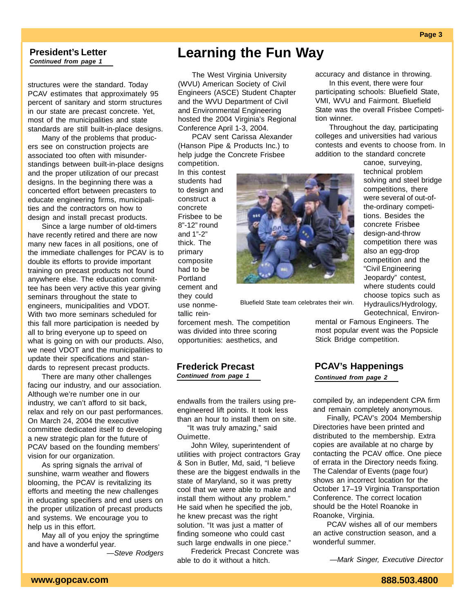#### *Continued from page 1* **President's Letter**

structures were the standard. Today PCAV estimates that approximately 95 percent of sanitary and storm structures in our state are precast concrete. Yet, most of the municipalities and state standards are still built-in-place designs.

Many of the problems that producers see on construction projects are associated too often with misunderstandings between built-in-place designs and the proper utilization of our precast designs. In the beginning there was a concerted effort between precasters to educate engineering firms, municipalities and the contractors on how to design and install precast products.

Since a large number of old-timers have recently retired and there are now many new faces in all positions, one of the immediate challenges for PCAV is to double its efforts to provide important training on precast products not found anywhere else. The education committee has been very active this year giving seminars throughout the state to engineers, municipalities and VDOT. With two more seminars scheduled for this fall more participation is needed by all to bring everyone up to speed on what is going on with our products. Also, we need VDOT and the municipalities to update their specifications and standards to represent precast products.

There are many other challenges facing our industry, and our association. Although we're number one in our industry, we can't afford to sit back, relax and rely on our past performances. On March 24, 2004 the executive committee dedicated itself to developing a new strategic plan for the future of PCAV based on the founding members' vision for our organization.

As spring signals the arrival of sunshine, warm weather and flowers blooming, the PCAV is revitalizing its efforts and meeting the new challenges in educating specifiers and end users on the proper utilization of precast products and systems. We encourage you to help us in this effort.

May all of you enjoy the springtime and have a wonderful year.

*—Steve Rodgers*

## **Learning the Fun Way**

The West Virginia University (WVU) American Society of Civil Engineers (ASCE) Student Chapter and the WVU Department of Civil and Environmental Engineering hosted the 2004 Virginia's Regional Conference April 1-3, 2004.

PCAV sent Carissa Alexander (Hanson Pipe & Products Inc.) to help judge the Concrete Frisbee competition.

In this contest students had to design and construct a concrete Frisbee to be 8"-12" round and 1"-2" thick. The primary composite had to be Portland cement and they could use nonmetallic rein-



Bluefield State team celebrates their win.

forcement mesh. The competition was divided into three scoring opportunities: aesthetics, and

#### *Continued from page 1* **Frederick Precast**

endwalls from the trailers using preengineered lift points. It took less than an hour to install them on site.

 "It was truly amazing," said Ouimette.

John Wiley, superintendent of utilities with project contractors Gray & Son in Butler, Md, said, "I believe these are the biggest endwalls in the state of Maryland, so it was pretty cool that we were able to make and install them without any problem." He said when he specified the job, he knew precast was the right solution. "It was just a matter of finding someone who could cast such large endwalls in one piece."

Frederick Precast Concrete was able to do it without a hitch.

accuracy and distance in throwing.

In this event, there were four participating schools: Bluefield State, VMI, WVU and Fairmont. Bluefield State was the overall Frisbee Competition winner.

Throughout the day, participating colleges and universities had various contests and events to choose from. In addition to the standard concrete

> canoe, surveying, technical problem solving and steel bridge competitions, there were several of out-ofthe-ordinary competitions. Besides the concrete Frisbee design-and-throw competition there was also an egg-drop competition and the "Civil Engineering Jeopardy" contest, where students could choose topics such as Hydraulics/Hydrology, Geotechnical, Environ-

mental or Famous Engineers. The most popular event was the Popsicle Stick Bridge competition.

#### **PCAV's Happenings**

*Continued from page 2*

compiled by, an independent CPA firm and remain completely anonymous.

Finally, PCAV's 2004 Membership Directories have been printed and distributed to the membership. Extra copies are available at no charge by contacting the PCAV office. One piece of errata in the Directory needs fixing. The Calendar of Events (page four) shows an incorrect location for the October 17–19 Virginia Transportation Conference. The correct location should be the Hotel Roanoke in Roanoke, Virginia.

PCAV wishes all of our members an active construction season, and a wonderful summer.

*—Mark Singer, Executive Director*